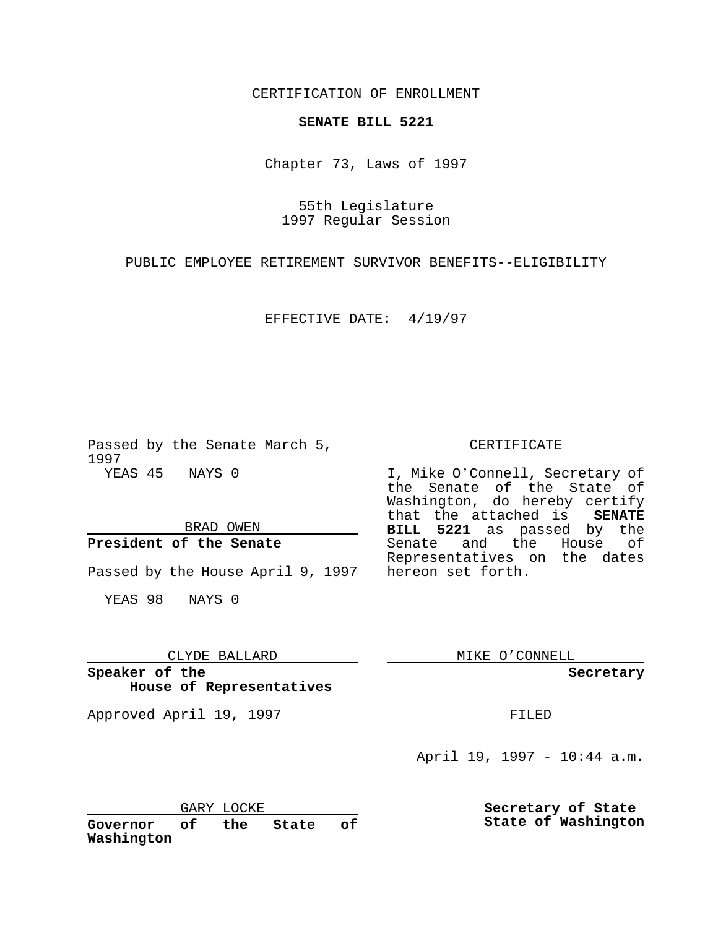CERTIFICATION OF ENROLLMENT

### **SENATE BILL 5221**

Chapter 73, Laws of 1997

55th Legislature 1997 Regular Session

PUBLIC EMPLOYEE RETIREMENT SURVIVOR BENEFITS--ELIGIBILITY

EFFECTIVE DATE: 4/19/97

Passed by the Senate March 5, 1997 YEAS 45 NAYS 0

BRAD OWEN

### **President of the Senate**

Passed by the House April 9, 1997 hereon set forth.

YEAS 98 NAYS 0

# CLYDE BALLARD

**Speaker of the House of Representatives**

Approved April 19, 1997 **FILED** 

#### CERTIFICATE

I, Mike O'Connell, Secretary of the Senate of the State of Washington, do hereby certify that the attached is **SENATE BILL 5221** as passed by the Senate and the House of Representatives on the dates

MIKE O'CONNELL

 $\frac{1}{2}$  . The set of  $\mathcal{O}(\mathbb{R}^d)$ 

**Secretary**

April 19, 1997 - 10:44 a.m.

**Secretary of State State of Washington**

GARY LOCKE<br>
of the **Governor of the State of Washington**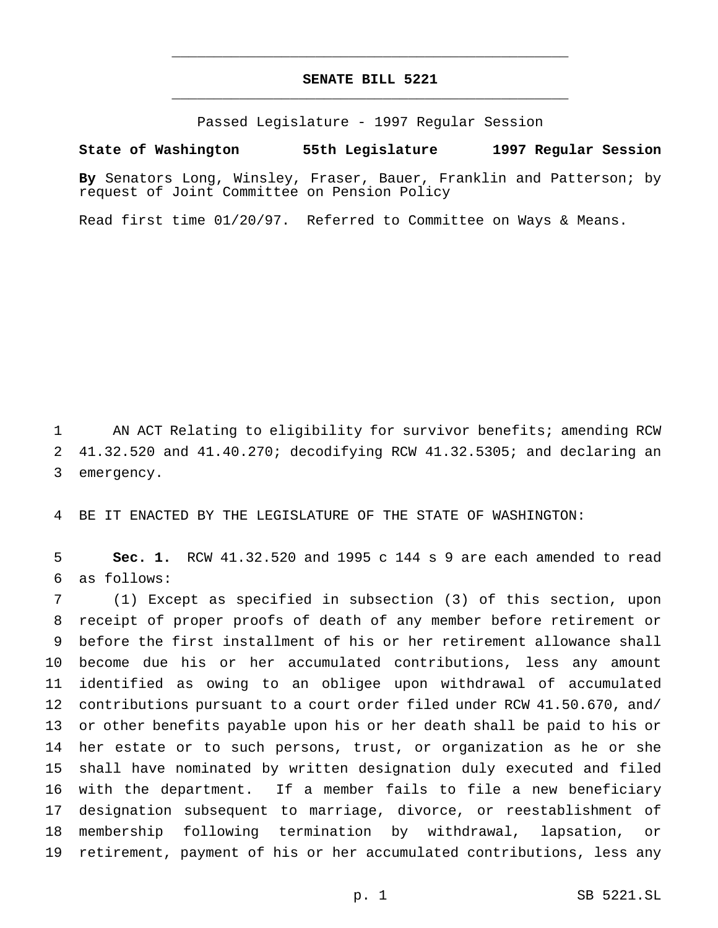## **SENATE BILL 5221** \_\_\_\_\_\_\_\_\_\_\_\_\_\_\_\_\_\_\_\_\_\_\_\_\_\_\_\_\_\_\_\_\_\_\_\_\_\_\_\_\_\_\_\_\_\_\_

\_\_\_\_\_\_\_\_\_\_\_\_\_\_\_\_\_\_\_\_\_\_\_\_\_\_\_\_\_\_\_\_\_\_\_\_\_\_\_\_\_\_\_\_\_\_\_

Passed Legislature - 1997 Regular Session

#### **State of Washington 55th Legislature 1997 Regular Session**

**By** Senators Long, Winsley, Fraser, Bauer, Franklin and Patterson; by request of Joint Committee on Pension Policy

Read first time 01/20/97. Referred to Committee on Ways & Means.

 AN ACT Relating to eligibility for survivor benefits; amending RCW 41.32.520 and 41.40.270; decodifying RCW 41.32.5305; and declaring an emergency.

BE IT ENACTED BY THE LEGISLATURE OF THE STATE OF WASHINGTON:

 **Sec. 1.** RCW 41.32.520 and 1995 c 144 s 9 are each amended to read as follows:

 (1) Except as specified in subsection (3) of this section, upon receipt of proper proofs of death of any member before retirement or before the first installment of his or her retirement allowance shall become due his or her accumulated contributions, less any amount identified as owing to an obligee upon withdrawal of accumulated contributions pursuant to a court order filed under RCW 41.50.670, and/ or other benefits payable upon his or her death shall be paid to his or her estate or to such persons, trust, or organization as he or she shall have nominated by written designation duly executed and filed with the department. If a member fails to file a new beneficiary designation subsequent to marriage, divorce, or reestablishment of membership following termination by withdrawal, lapsation, or retirement, payment of his or her accumulated contributions, less any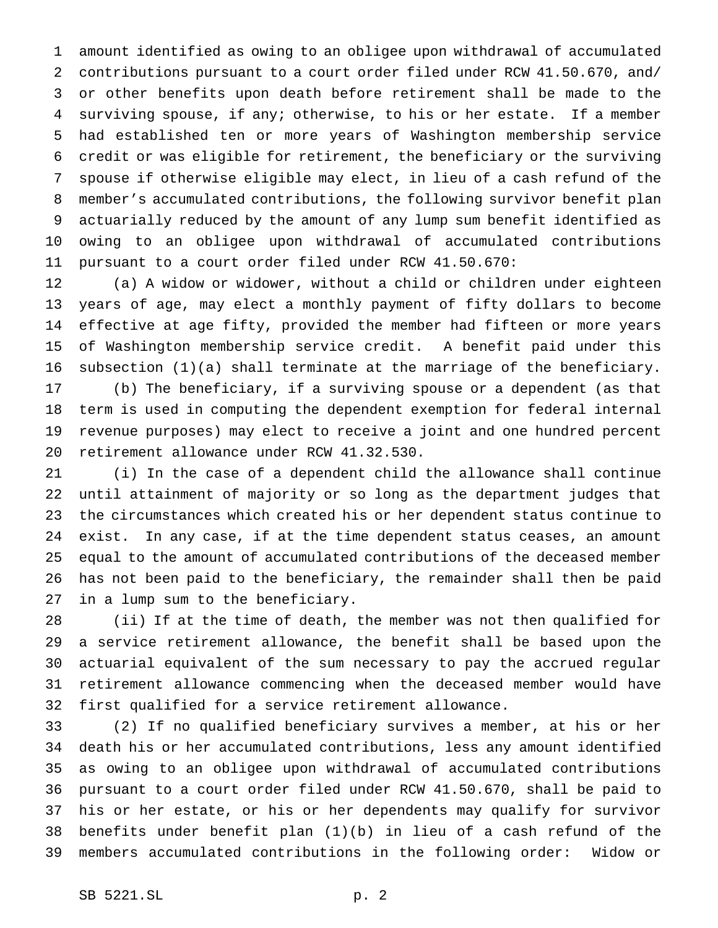amount identified as owing to an obligee upon withdrawal of accumulated contributions pursuant to a court order filed under RCW 41.50.670, and/ or other benefits upon death before retirement shall be made to the surviving spouse, if any; otherwise, to his or her estate. If a member had established ten or more years of Washington membership service credit or was eligible for retirement, the beneficiary or the surviving spouse if otherwise eligible may elect, in lieu of a cash refund of the member's accumulated contributions, the following survivor benefit plan actuarially reduced by the amount of any lump sum benefit identified as owing to an obligee upon withdrawal of accumulated contributions pursuant to a court order filed under RCW 41.50.670:

 (a) A widow or widower, without a child or children under eighteen years of age, may elect a monthly payment of fifty dollars to become effective at age fifty, provided the member had fifteen or more years of Washington membership service credit. A benefit paid under this subsection (1)(a) shall terminate at the marriage of the beneficiary.

 (b) The beneficiary, if a surviving spouse or a dependent (as that term is used in computing the dependent exemption for federal internal revenue purposes) may elect to receive a joint and one hundred percent retirement allowance under RCW 41.32.530.

 (i) In the case of a dependent child the allowance shall continue until attainment of majority or so long as the department judges that the circumstances which created his or her dependent status continue to exist. In any case, if at the time dependent status ceases, an amount equal to the amount of accumulated contributions of the deceased member has not been paid to the beneficiary, the remainder shall then be paid in a lump sum to the beneficiary.

 (ii) If at the time of death, the member was not then qualified for a service retirement allowance, the benefit shall be based upon the actuarial equivalent of the sum necessary to pay the accrued regular retirement allowance commencing when the deceased member would have first qualified for a service retirement allowance.

 (2) If no qualified beneficiary survives a member, at his or her death his or her accumulated contributions, less any amount identified as owing to an obligee upon withdrawal of accumulated contributions pursuant to a court order filed under RCW 41.50.670, shall be paid to his or her estate, or his or her dependents may qualify for survivor benefits under benefit plan (1)(b) in lieu of a cash refund of the members accumulated contributions in the following order: Widow or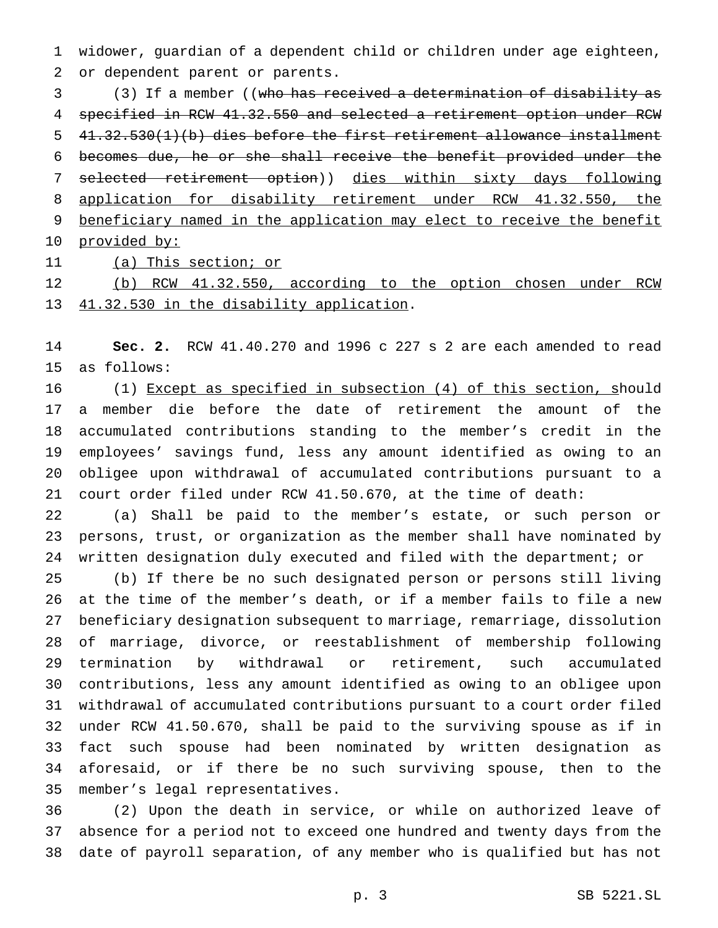widower, guardian of a dependent child or children under age eighteen, or dependent parent or parents.

 (3) If a member ((who has received a determination of disability as specified in RCW 41.32.550 and selected a retirement option under RCW 41.32.530(1)(b) dies before the first retirement allowance installment becomes due, he or she shall receive the benefit provided under the 7 selected retirement option)) dies within sixty days following application for disability retirement under RCW 41.32.550, the beneficiary named in the application may elect to receive the benefit 10 provided by:

11 (a) This section; or

 (b) RCW 41.32.550, according to the option chosen under RCW 41.32.530 in the disability application.

 **Sec. 2.** RCW 41.40.270 and 1996 c 227 s 2 are each amended to read as follows:

 (1) Except as specified in subsection (4) of this section, should a member die before the date of retirement the amount of the accumulated contributions standing to the member's credit in the employees' savings fund, less any amount identified as owing to an obligee upon withdrawal of accumulated contributions pursuant to a court order filed under RCW 41.50.670, at the time of death:

 (a) Shall be paid to the member's estate, or such person or persons, trust, or organization as the member shall have nominated by written designation duly executed and filed with the department; or

 (b) If there be no such designated person or persons still living at the time of the member's death, or if a member fails to file a new beneficiary designation subsequent to marriage, remarriage, dissolution of marriage, divorce, or reestablishment of membership following termination by withdrawal or retirement, such accumulated contributions, less any amount identified as owing to an obligee upon withdrawal of accumulated contributions pursuant to a court order filed under RCW 41.50.670, shall be paid to the surviving spouse as if in fact such spouse had been nominated by written designation as aforesaid, or if there be no such surviving spouse, then to the member's legal representatives.

 (2) Upon the death in service, or while on authorized leave of absence for a period not to exceed one hundred and twenty days from the date of payroll separation, of any member who is qualified but has not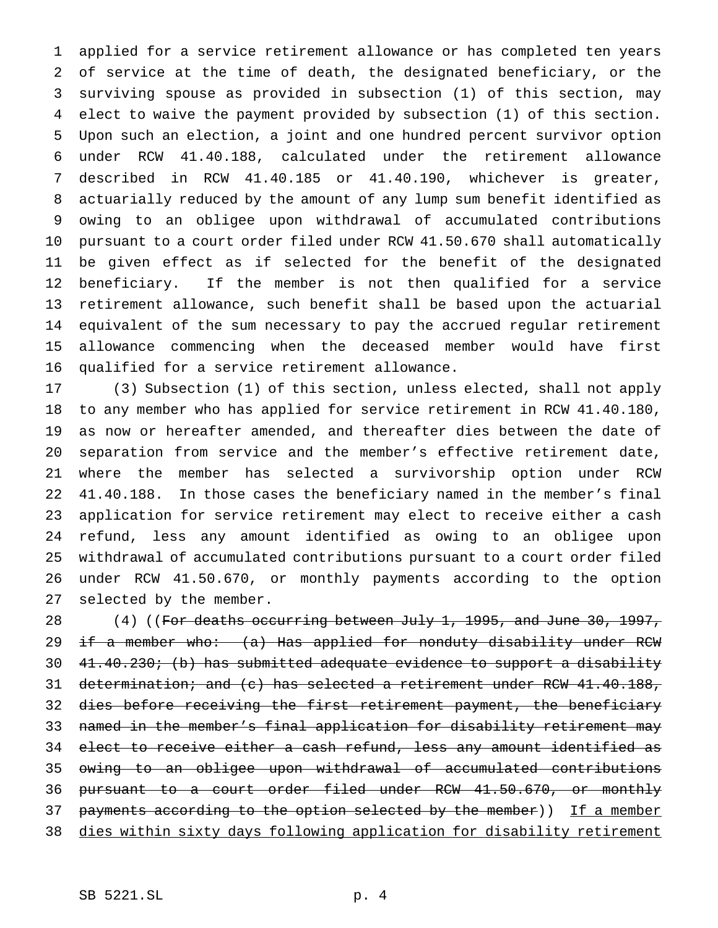applied for a service retirement allowance or has completed ten years of service at the time of death, the designated beneficiary, or the surviving spouse as provided in subsection (1) of this section, may elect to waive the payment provided by subsection (1) of this section. Upon such an election, a joint and one hundred percent survivor option under RCW 41.40.188, calculated under the retirement allowance described in RCW 41.40.185 or 41.40.190, whichever is greater, actuarially reduced by the amount of any lump sum benefit identified as owing to an obligee upon withdrawal of accumulated contributions pursuant to a court order filed under RCW 41.50.670 shall automatically be given effect as if selected for the benefit of the designated beneficiary. If the member is not then qualified for a service retirement allowance, such benefit shall be based upon the actuarial equivalent of the sum necessary to pay the accrued regular retirement allowance commencing when the deceased member would have first qualified for a service retirement allowance.

 (3) Subsection (1) of this section, unless elected, shall not apply to any member who has applied for service retirement in RCW 41.40.180, as now or hereafter amended, and thereafter dies between the date of separation from service and the member's effective retirement date, where the member has selected a survivorship option under RCW 41.40.188. In those cases the beneficiary named in the member's final application for service retirement may elect to receive either a cash refund, less any amount identified as owing to an obligee upon withdrawal of accumulated contributions pursuant to a court order filed under RCW 41.50.670, or monthly payments according to the option selected by the member.

28 (4) ((For deaths occurring between July 1, 1995, and June 30, 1997, 29 if a member who: (a) Has applied for nonduty disability under RCW 30 41.40.230; (b) has submitted adequate evidence to support a disability 31 determination; and (c) has selected a retirement under RCW 41.40.188, dies before receiving the first retirement payment, the beneficiary 33 named in the member's final application for disability retirement may elect to receive either a cash refund, less any amount identified as owing to an obligee upon withdrawal of accumulated contributions pursuant to a court order filed under RCW 41.50.670, or monthly 37 payments according to the option selected by the member)) If a member dies within sixty days following application for disability retirement